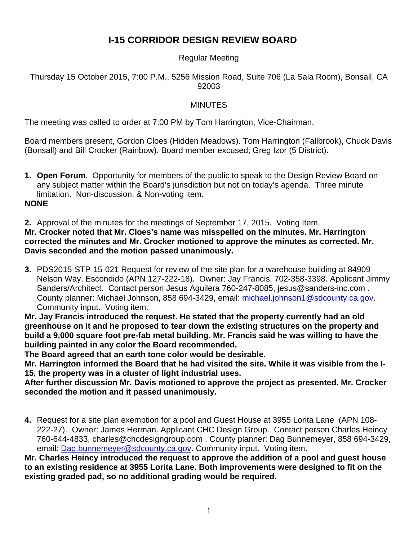## **I-15 CORRIDOR DESIGN REVIEW BOARD**

## Regular Meeting

Thursday 15 October 2015, 7:00 P.M., 5256 Mission Road, Suite 706 (La Sala Room), Bonsall, CA 92003

## MINUTES

The meeting was called to order at 7:00 PM by Tom Harrington, Vice-Chairman.

Board members present, Gordon Cloes (Hidden Meadows). Tom Harrington (Fallbrook), Chuck Davis (Bonsall) and Bill Crocker (Rainbow). Board member excused; Greg Izor (5 District).

**1. Open Forum.** Opportunity for members of the public to speak to the Design Review Board on any subject matter within the Board's jurisdiction but not on today's agenda. Three minute limitation. Non-discussion, & Non-voting item. **NONE** 

**2.** Approval of the minutes for the meetings of September 17, 2015. Voting Item. **Mr. Crocker noted that Mr. Cloes's name was misspelled on the minutes. Mr. Harrington corrected the minutes and Mr. Crocker motioned to approve the minutes as corrected. Mr. Davis seconded and the motion passed unanimously.** 

**3.** PDS2015-STP-15-021 Request for review of the site plan for a warehouse building at 84909 Nelson Way, Escondido (APN 127-222-18). Owner: Jay Francis, 702-358-3398. Applicant Jimmy Sanders/Architect. Contact person Jesus Aguilera 760-247-8085, jesus@sanders-inc.com . County planner: Michael Johnson, 858 694-3429, email: michael.johnson1@sdcounty.ca.gov. Community input. Voting item.

**Mr. Jay Francis introduced the request. He stated that the property currently had an old greenhouse on it and he proposed to tear down the existing structures on the property and build a 9,000 square foot pre-fab metal building. Mr. Francis said he was willing to have the building painted in any color the Board recommended.** 

**The Board agreed that an earth tone color would be desirable.** 

**Mr. Harrington informed the Board that he had visited the site. While it was visible from the I-15, the property was in a cluster of light industrial uses.** 

**After further discussion Mr. Davis motioned to approve the project as presented. Mr. Crocker seconded the motion and it passed unanimously.** 

**4.** Request for a site plan exemption for a pool and Guest House at 3955 Lorita Lane (APN 108- 222-27). Owner: James Herman. Applicant CHC Design Group. Contact person Charles Heincy 760-644-4833, charles@chcdesigngroup.com . County planner: Dag Bunnemeyer, 858 694-3429, email: Dag.bunnemeyer@sdcounty.ca.gov. Community input. Voting item.

**Mr. Charles Heincy introduced the request to approve the addition of a pool and guest house to an existing residence at 3955 Lorita Lane. Both improvements were designed to fit on the existing graded pad, so no additional grading would be required.**